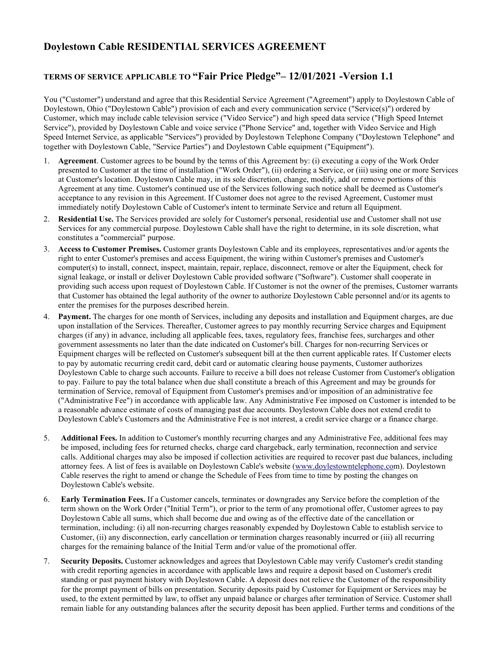# **Doylestown Cable RESIDENTIAL SERVICES AGREEMENT**

## **TERMS OF SERVICE APPLICABLE TO "Fair Price Pledge"– 12/01/2021 -Version 1.1**

You ("Customer") understand and agree that this Residential Service Agreement ("Agreement") apply to Doylestown Cable of Doylestown, Ohio ("Doylestown Cable") provision of each and every communication service ("Service(s)") ordered by Customer, which may include cable television service ("Video Service") and high speed data service ("High Speed Internet Service"), provided by Doylestown Cable and voice service ("Phone Service" and, together with Video Service and High Speed Internet Service, as applicable "Services") provided by Doylestown Telephone Company ("Doylestown Telephone" and together with Doylestown Cable, "Service Parties") and Doylestown Cable equipment ("Equipment").

- 1. **Agreement**. Customer agrees to be bound by the terms of this Agreement by: (i) executing a copy of the Work Order presented to Customer at the time of installation ("Work Order"), (ii) ordering a Service, or (iii) using one or more Services at Customer's location. Doylestown Cable may, in its sole discretion, change, modify, add or remove portions of this Agreement at any time. Customer's continued use of the Services following such notice shall be deemed as Customer's acceptance to any revision in this Agreement. If Customer does not agree to the revised Agreement, Customer must immediately notify Doylestown Cable of Customer's intent to terminate Service and return all Equipment.
- 2. **Residential Use.** The Services provided are solely for Customer's personal, residential use and Customer shall not use Services for any commercial purpose. Doylestown Cable shall have the right to determine, in its sole discretion, what constitutes a "commercial" purpose.
- 3. **Access to Customer Premises.** Customer grants Doylestown Cable and its employees, representatives and/or agents the right to enter Customer's premises and access Equipment, the wiring within Customer's premises and Customer's computer(s) to install, connect, inspect, maintain, repair, replace, disconnect, remove or alter the Equipment, check for signal leakage, or install or deliver Doylestown Cable provided software ("Software"). Customer shall cooperate in providing such access upon request of Doylestown Cable. If Customer is not the owner of the premises, Customer warrants that Customer has obtained the legal authority of the owner to authorize Doylestown Cable personnel and/or its agents to enter the premises for the purposes described herein.
- 4. **Payment.** The charges for one month of Services, including any deposits and installation and Equipment charges, are due upon installation of the Services. Thereafter, Customer agrees to pay monthly recurring Service charges and Equipment charges (if any) in advance, including all applicable fees, taxes, regulatory fees, franchise fees, surcharges and other government assessments no later than the date indicated on Customer's bill. Charges for non-recurring Services or Equipment charges will be reflected on Customer's subsequent bill at the then current applicable rates. If Customer elects to pay by automatic recurring credit card, debit card or automatic clearing house payments, Customer authorizes Doylestown Cable to charge such accounts. Failure to receive a bill does not release Customer from Customer's obligation to pay. Failure to pay the total balance when due shall constitute a breach of this Agreement and may be grounds for termination of Service, removal of Equipment from Customer's premises and/or imposition of an administrative fee ("Administrative Fee") in accordance with applicable law. Any Administrative Fee imposed on Customer is intended to be a reasonable advance estimate of costs of managing past due accounts. Doylestown Cable does not extend credit to Doylestown Cable's Customers and the Administrative Fee is not interest, a credit service charge or a finance charge.
- 5. **Additional Fees.** In addition to Customer's monthly recurring charges and any Administrative Fee, additional fees may be imposed, including fees for returned checks, charge card chargeback, early termination, reconnection and service calls. Additional charges may also be imposed if collection activities are required to recover past due balances, including attorney fees. A list of fees is available on Doylestown Cable's website [\(www.doylestowntelephone.com](http://www.doylestowntelephone.com/)). Doylestown Cable reserves the right to amend or change the Schedule of Fees from time to time by posting the changes on Doylestown Cable's website.
- 6. **Early Termination Fees.** If a Customer cancels, terminates or downgrades any Service before the completion of the term shown on the Work Order ("Initial Term"), or prior to the term of any promotional offer, Customer agrees to pay Doylestown Cable all sums, which shall become due and owing as of the effective date of the cancellation or termination, including: (i) all non-recurring charges reasonably expended by Doylestown Cable to establish service to Customer, (ii) any disconnection, early cancellation or termination charges reasonably incurred or (iii) all recurring charges for the remaining balance of the Initial Term and/or value of the promotional offer.
- 7. **Security Deposits.** Customer acknowledges and agrees that Doylestown Cable may verify Customer's credit standing with credit reporting agencies in accordance with applicable laws and require a deposit based on Customer's credit standing or past payment history with Doylestown Cable. A deposit does not relieve the Customer of the responsibility for the prompt payment of bills on presentation. Security deposits paid by Customer for Equipment or Services may be used, to the extent permitted by law, to offset any unpaid balance or charges after termination of Service. Customer shall remain liable for any outstanding balances after the security deposit has been applied. Further terms and conditions of the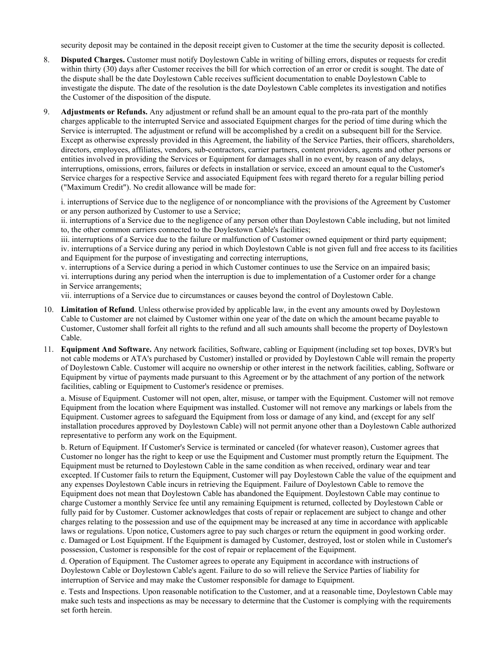security deposit may be contained in the deposit receipt given to Customer at the time the security deposit is collected.

- 8. **Disputed Charges.** Customer must notify Doylestown Cable in writing of billing errors, disputes or requests for credit within thirty (30) days after Customer receives the bill for which correction of an error or credit is sought. The date of the dispute shall be the date Doylestown Cable receives sufficient documentation to enable Doylestown Cable to investigate the dispute. The date of the resolution is the date Doylestown Cable completes its investigation and notifies the Customer of the disposition of the dispute.
- 9. **Adjustments or Refunds.** Any adjustment or refund shall be an amount equal to the pro-rata part of the monthly charges applicable to the interrupted Service and associated Equipment charges for the period of time during which the Service is interrupted. The adjustment or refund will be accomplished by a credit on a subsequent bill for the Service. Except as otherwise expressly provided in this Agreement, the liability of the Service Parties, their officers, shareholders, directors, employees, affiliates, vendors, sub-contractors, carrier partners, content providers, agents and other persons or entities involved in providing the Services or Equipment for damages shall in no event, by reason of any delays, interruptions, omissions, errors, failures or defects in installation or service, exceed an amount equal to the Customer's Service charges for a respective Service and associated Equipment fees with regard thereto for a regular billing period ("Maximum Credit"). No credit allowance will be made for:

i. interruptions of Service due to the negligence of or noncompliance with the provisions of the Agreement by Customer or any person authorized by Customer to use a Service;

ii. interruptions of a Service due to the negligence of any person other than Doylestown Cable including, but not limited to, the other common carriers connected to the Doylestown Cable's facilities;

iii. interruptions of a Service due to the failure or malfunction of Customer owned equipment or third party equipment; iv. interruptions of a Service during any period in which Doylestown Cable is not given full and free access to its facilities and Equipment for the purpose of investigating and correcting interruptions,

v. interruptions of a Service during a period in which Customer continues to use the Service on an impaired basis; vi. interruptions during any period when the interruption is due to implementation of a Customer order for a change in Service arrangements;

vii. interruptions of a Service due to circumstances or causes beyond the control of Doylestown Cable.

- 10. **Limitation of Refund**. Unless otherwise provided by applicable law, in the event any amounts owed by Doylestown Cable to Customer are not claimed by Customer within one year of the date on which the amount became payable to Customer, Customer shall forfeit all rights to the refund and all such amounts shall become the property of Doylestown Cable.
- 11. **Equipment And Software.** Any network facilities, Software, cabling or Equipment (including set top boxes, DVR's but not cable modems or ATA's purchased by Customer) installed or provided by Doylestown Cable will remain the property of Doylestown Cable. Customer will acquire no ownership or other interest in the network facilities, cabling, Software or Equipment by virtue of payments made pursuant to this Agreement or by the attachment of any portion of the network facilities, cabling or Equipment to Customer's residence or premises.

a. Misuse of Equipment. Customer will not open, alter, misuse, or tamper with the Equipment. Customer will not remove Equipment from the location where Equipment was installed. Customer will not remove any markings or labels from the Equipment. Customer agrees to safeguard the Equipment from loss or damage of any kind, and (except for any self installation procedures approved by Doylestown Cable) will not permit anyone other than a Doylestown Cable authorized representative to perform any work on the Equipment.

b. Return of Equipment. If Customer's Service is terminated or canceled (for whatever reason), Customer agrees that Customer no longer has the right to keep or use the Equipment and Customer must promptly return the Equipment. The Equipment must be returned to Doylestown Cable in the same condition as when received, ordinary wear and tear excepted. If Customer fails to return the Equipment, Customer will pay Doylestown Cable the value of the equipment and any expenses Doylestown Cable incurs in retrieving the Equipment. Failure of Doylestown Cable to remove the Equipment does not mean that Doylestown Cable has abandoned the Equipment. Doylestown Cable may continue to charge Customer a monthly Service fee until any remaining Equipment is returned, collected by Doylestown Cable or fully paid for by Customer. Customer acknowledges that costs of repair or replacement are subject to change and other charges relating to the possession and use of the equipment may be increased at any time in accordance with applicable laws or regulations. Upon notice, Customers agree to pay such charges or return the equipment in good working order. c. Damaged or Lost Equipment. If the Equipment is damaged by Customer, destroyed, lost or stolen while in Customer's possession, Customer is responsible for the cost of repair or replacement of the Equipment.

d. Operation of Equipment. The Customer agrees to operate any Equipment in accordance with instructions of Doylestown Cable or Doylestown Cable's agent. Failure to do so will relieve the Service Parties of liability for interruption of Service and may make the Customer responsible for damage to Equipment.

e. Tests and Inspections. Upon reasonable notification to the Customer, and at a reasonable time, Doylestown Cable may make such tests and inspections as may be necessary to determine that the Customer is complying with the requirements set forth herein.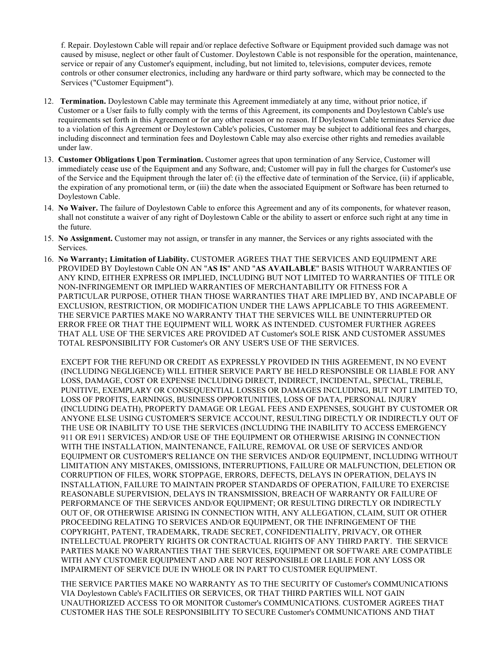f. Repair. Doylestown Cable will repair and/or replace defective Software or Equipment provided such damage was not caused by misuse, neglect or other fault of Customer. Doylestown Cable is not responsible for the operation, maintenance, service or repair of any Customer's equipment, including, but not limited to, televisions, computer devices, remote controls or other consumer electronics, including any hardware or third party software, which may be connected to the Services ("Customer Equipment").

- 12. **Termination.** Doylestown Cable may terminate this Agreement immediately at any time, without prior notice, if Customer or a User fails to fully comply with the terms of this Agreement, its components and Doylestown Cable's use requirements set forth in this Agreement or for any other reason or no reason. If Doylestown Cable terminates Service due to a violation of this Agreement or Doylestown Cable's policies, Customer may be subject to additional fees and charges, including disconnect and termination fees and Doylestown Cable may also exercise other rights and remedies available under law.
- 13. **Customer Obligations Upon Termination.** Customer agrees that upon termination of any Service, Customer will immediately cease use of the Equipment and any Software, and; Customer will pay in full the charges for Customer's use of the Service and the Equipment through the later of: (i) the effective date of termination of the Service, (ii) if applicable, the expiration of any promotional term, or (iii) the date when the associated Equipment or Software has been returned to Doylestown Cable.
- 14. **No Waiver.** The failure of Doylestown Cable to enforce this Agreement and any of its components, for whatever reason, shall not constitute a waiver of any right of Doylestown Cable or the ability to assert or enforce such right at any time in the future.
- 15. **No Assignment.** Customer may not assign, or transfer in any manner, the Services or any rights associated with the Services.
- 16. **No Warranty; Limitation of Liability.** CUSTOMER AGREES THAT THE SERVICES AND EQUIPMENT ARE PROVIDED BY Doylestown Cable ON AN "**AS IS**" AND "**AS AVAILABLE**" BASIS WITHOUT WARRANTIES OF ANY KIND, EITHER EXPRESS OR IMPLIED, INCLUDING BUT NOT LIMITED TO WARRANTIES OF TITLE OR NON-INFRINGEMENT OR IMPLIED WARRANTIES OF MERCHANTABILITY OR FITNESS FOR A PARTICULAR PURPOSE, OTHER THAN THOSE WARRANTIES THAT ARE IMPLIED BY, AND INCAPABLE OF EXCLUSION, RESTRICTION, OR MODIFICATION UNDER THE LAWS APPLICABLE TO THIS AGREEMENT. THE SERVICE PARTIES MAKE NO WARRANTY THAT THE SERVICES WILL BE UNINTERRUPTED OR ERROR FREE OR THAT THE EQUIPMENT WILL WORK AS INTENDED. CUSTOMER FURTHER AGREES THAT ALL USE OF THE SERVICES ARE PROVIDED AT Customer's SOLE RISK AND CUSTOMER ASSUMES TOTAL RESPONSIBILITY FOR Customer's OR ANY USER'S USE OF THE SERVICES.

EXCEPT FOR THE REFUND OR CREDIT AS EXPRESSLY PROVIDED IN THIS AGREEMENT, IN NO EVENT (INCLUDING NEGLIGENCE) WILL EITHER SERVICE PARTY BE HELD RESPONSIBLE OR LIABLE FOR ANY LOSS, DAMAGE, COST OR EXPENSE INCLUDING DIRECT, INDIRECT, INCIDENTAL, SPECIAL, TREBLE, PUNITIVE, EXEMPLARY OR CONSEQUENTIAL LOSSES OR DAMAGES INCLUDING, BUT NOT LIMITED TO, LOSS OF PROFITS, EARNINGS, BUSINESS OPPORTUNITIES, LOSS OF DATA, PERSONAL INJURY (INCLUDING DEATH), PROPERTY DAMAGE OR LEGAL FEES AND EXPENSES, SOUGHT BY CUSTOMER OR ANYONE ELSE USING CUSTOMER'S SERVICE ACCOUNT, RESULTING DIRECTLY OR INDIRECTLY OUT OF THE USE OR INABILITY TO USE THE SERVICES (INCLUDING THE INABILITY TO ACCESS EMERGENCY 911 OR E911 SERVICES) AND/OR USE OF THE EQUIPMENT OR OTHERWISE ARISING IN CONNECTION WITH THE INSTALLATION, MAINTENANCE, FAILURE, REMOVAL OR USE OF SERVICES AND/OR EQUIPMENT OR CUSTOMER'S RELIANCE ON THE SERVICES AND/OR EQUIPMENT, INCLUDING WITHOUT LIMITATION ANY MISTAKES, OMISSIONS, INTERRUPTIONS, FAILURE OR MALFUNCTION, DELETION OR CORRUPTION OF FILES, WORK STOPPAGE, ERRORS, DEFECTS, DELAYS IN OPERATION, DELAYS IN INSTALLATION, FAILURE TO MAINTAIN PROPER STANDARDS OF OPERATION, FAILURE TO EXERCISE REASONABLE SUPERVISION, DELAYS IN TRANSMISSION, BREACH OF WARRANTY OR FAILURE OF PERFORMANCE OF THE SERVICES AND/OR EQUIPMENT; OR RESULTING DIRECTLY OR INDIRECTLY OUT OF, OR OTHERWISE ARISING IN CONNECTION WITH, ANY ALLEGATION, CLAIM, SUIT OR OTHER PROCEEDING RELATING TO SERVICES AND/OR EQUIPMENT, OR THE INFRINGEMENT OF THE COPYRIGHT, PATENT, TRADEMARK, TRADE SECRET, CONFIDENTIALITY, PRIVACY, OR OTHER INTELLECTUAL PROPERTY RIGHTS OR CONTRACTUAL RIGHTS OF ANY THIRD PARTY. THE SERVICE PARTIES MAKE NO WARRANTIES THAT THE SERVICES, EQUIPMENT OR SOFTWARE ARE COMPATIBLE WITH ANY CUSTOMER EQUIPMENT AND ARE NOT RESPONSIBLE OR LIABLE FOR ANY LOSS OR IMPAIRMENT OF SERVICE DUE IN WHOLE OR IN PART TO CUSTOMER EQUIPMENT.

THE SERVICE PARTIES MAKE NO WARRANTY AS TO THE SECURITY OF Customer's COMMUNICATIONS VIA Doylestown Cable's FACILITIES OR SERVICES, OR THAT THIRD PARTIES WILL NOT GAIN UNAUTHORIZED ACCESS TO OR MONITOR Customer's COMMUNICATIONS. CUSTOMER AGREES THAT CUSTOMER HAS THE SOLE RESPONSIBILITY TO SECURE Customer's COMMUNICATIONS AND THAT